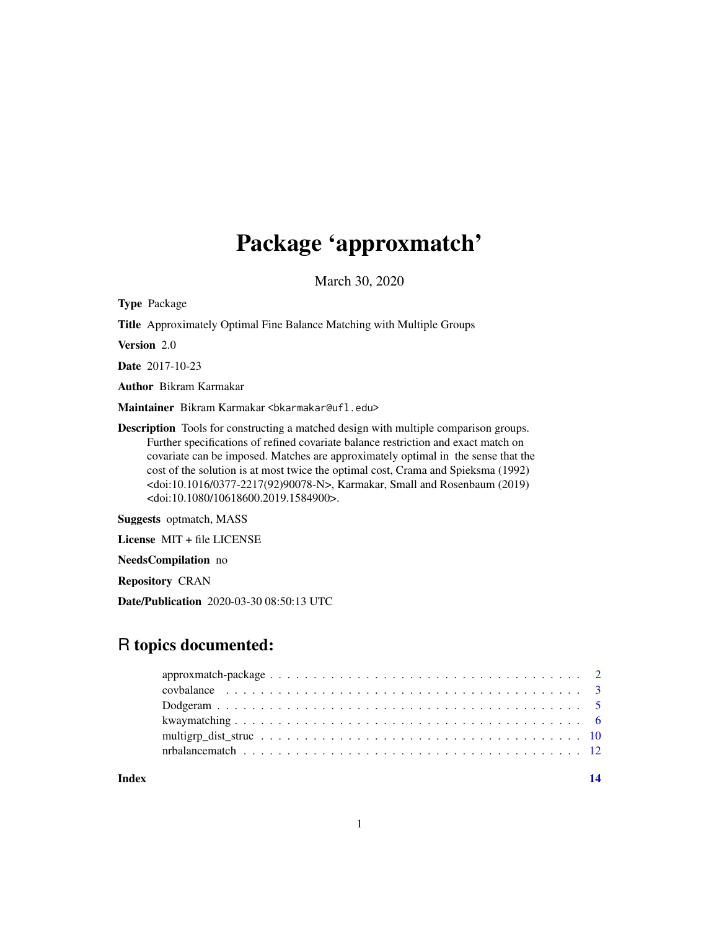# Package 'approxmatch'

March 30, 2020

Type Package

Title Approximately Optimal Fine Balance Matching with Multiple Groups

Version 2.0

Date 2017-10-23

Author Bikram Karmakar

Maintainer Bikram Karmakar <br/>bkarmakar@ufl.edu>

Description Tools for constructing a matched design with multiple comparison groups. Further specifications of refined covariate balance restriction and exact match on covariate can be imposed. Matches are approximately optimal in the sense that the cost of the solution is at most twice the optimal cost, Crama and Spieksma (1992) <doi:10.1016/0377-2217(92)90078-N>, Karmakar, Small and Rosenbaum (2019) <doi:10.1080/10618600.2019.1584900>.

Suggests optmatch, MASS

License MIT + file LICENSE

NeedsCompilation no

Repository CRAN

Date/Publication 2020-03-30 08:50:13 UTC

# R topics documented:

**Index** 2008 **[14](#page-13-0)**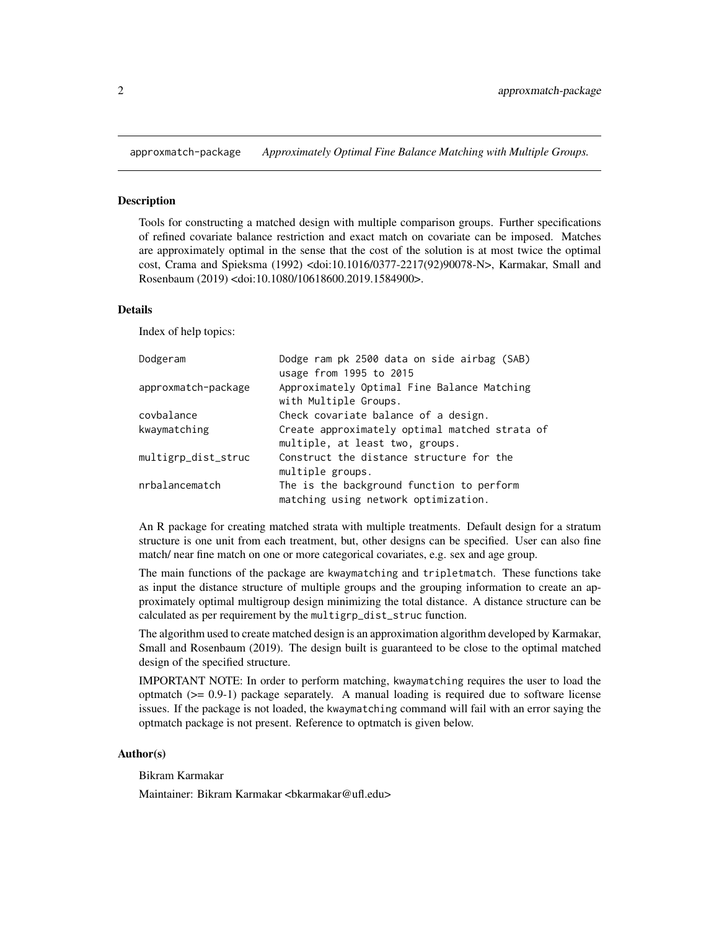<span id="page-1-0"></span>approxmatch-package *Approximately Optimal Fine Balance Matching with Multiple Groups.*

#### Description

Tools for constructing a matched design with multiple comparison groups. Further specifications of refined covariate balance restriction and exact match on covariate can be imposed. Matches are approximately optimal in the sense that the cost of the solution is at most twice the optimal cost, Crama and Spieksma (1992) <doi:10.1016/0377-2217(92)90078-N>, Karmakar, Small and Rosenbaum (2019) <doi:10.1080/10618600.2019.1584900>.

#### Details

Index of help topics:

| Dodgeram            | Dodge ram pk 2500 data on side airbag (SAB)<br>usage from 1995 to 2015            |
|---------------------|-----------------------------------------------------------------------------------|
| approxmatch-package | Approximately Optimal Fine Balance Matching<br>with Multiple Groups.              |
| covbalance          | Check covariate balance of a design.                                              |
| kwaymatching        | Create approximately optimal matched strata of<br>multiple, at least two, groups. |
| multigrp_dist_struc | Construct the distance structure for the<br>multiple groups.                      |
| nrbalancematch      | The is the background function to perform<br>matching using network optimization. |

An R package for creating matched strata with multiple treatments. Default design for a stratum structure is one unit from each treatment, but, other designs can be specified. User can also fine match/ near fine match on one or more categorical covariates, e.g. sex and age group.

The main functions of the package are kwaymatching and tripletmatch. These functions take as input the distance structure of multiple groups and the grouping information to create an approximately optimal multigroup design minimizing the total distance. A distance structure can be calculated as per requirement by the multigrp\_dist\_struc function.

The algorithm used to create matched design is an approximation algorithm developed by Karmakar, Small and Rosenbaum (2019). The design built is guaranteed to be close to the optimal matched design of the specified structure.

IMPORTANT NOTE: In order to perform matching, kwaymatching requires the user to load the optmatch  $(>= 0.9-1)$  package separately. A manual loading is required due to software license issues. If the package is not loaded, the kwaymatching command will fail with an error saying the optmatch package is not present. Reference to optmatch is given below.

# Author(s)

Bikram Karmakar

Maintainer: Bikram Karmakar <bkarmakar@ufl.edu>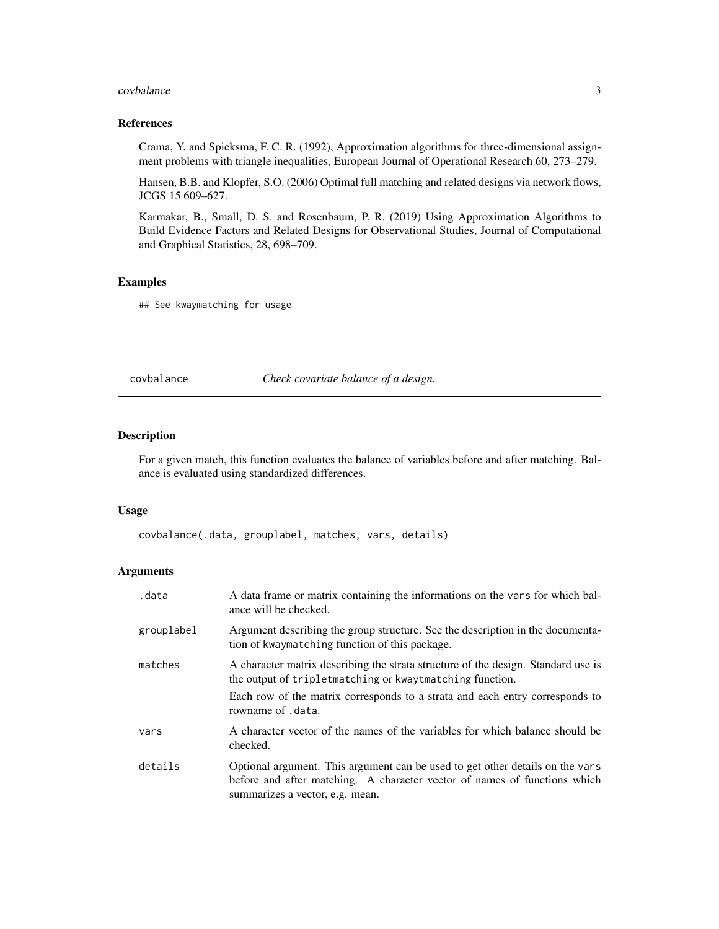#### <span id="page-2-0"></span>covbalance 3

#### References

Crama, Y. and Spieksma, F. C. R. (1992), Approximation algorithms for three-dimensional assignment problems with triangle inequalities, European Journal of Operational Research 60, 273–279.

Hansen, B.B. and Klopfer, S.O. (2006) Optimal full matching and related designs via network flows, JCGS 15 609–627.

Karmakar, B., Small, D. S. and Rosenbaum, P. R. (2019) Using Approximation Algorithms to Build Evidence Factors and Related Designs for Observational Studies, Journal of Computational and Graphical Statistics, 28, 698–709.

#### Examples

## See kwaymatching for usage

covbalance *Check covariate balance of a design.*

#### Description

For a given match, this function evaluates the balance of variables before and after matching. Balance is evaluated using standardized differences.

#### Usage

covbalance(.data, grouplabel, matches, vars, details)

#### Arguments

| .data      | A data frame or matrix containing the informations on the vars for which bal-<br>ance will be checked.                                                                                        |
|------------|-----------------------------------------------------------------------------------------------------------------------------------------------------------------------------------------------|
| grouplabel | Argument describing the group structure. See the description in the documenta-<br>tion of kwaymatching function of this package.                                                              |
| matches    | A character matrix describing the strata structure of the design. Standard use is<br>the output of tripletmatching or kwaytmatching function.                                                 |
|            | Each row of the matrix corresponds to a strata and each entry corresponds to<br>rowname of .data.                                                                                             |
| vars       | A character vector of the names of the variables for which balance should be<br>checked.                                                                                                      |
| details    | Optional argument. This argument can be used to get other details on the vars<br>before and after matching. A character vector of names of functions which<br>summarizes a vector, e.g. mean. |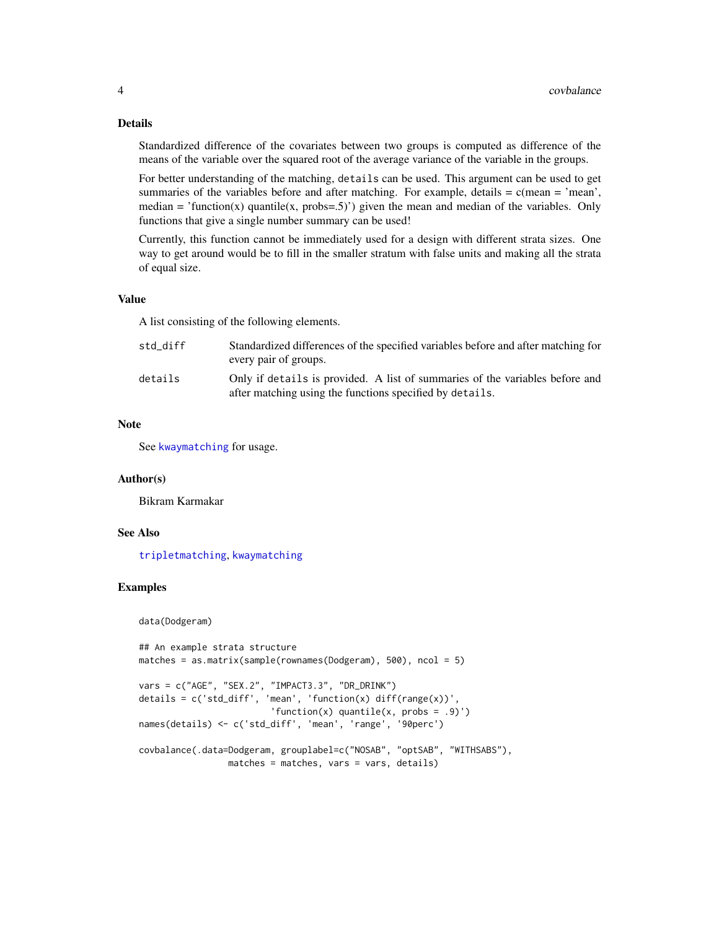# Details

Standardized difference of the covariates between two groups is computed as difference of the means of the variable over the squared root of the average variance of the variable in the groups.

For better understanding of the matching, details can be used. This argument can be used to get summaries of the variables before and after matching. For example, details  $= c$  (mean  $=$  'mean', median = 'function(x) quantile(x, probs=.5)') given the mean and median of the variables. Only functions that give a single number summary can be used!

Currently, this function cannot be immediately used for a design with different strata sizes. One way to get around would be to fill in the smaller stratum with false units and making all the strata of equal size.

#### Value

A list consisting of the following elements.

| std diff | Standardized differences of the specified variables before and after matching for<br>every pair of groups.                               |
|----------|------------------------------------------------------------------------------------------------------------------------------------------|
| details  | Only if details is provided. A list of summaries of the variables before and<br>after matching using the functions specified by details. |

# Note

See [kwaymatching](#page-5-1) for usage.

#### Author(s)

Bikram Karmakar

#### See Also

[tripletmatching](#page-5-2), [kwaymatching](#page-5-1)

#### Examples

data(Dodgeram)

```
## An example strata structure
matches = as.matrix(sample(rownames(Dodgeram), 500), ncol = 5)
vars = c("AGE", "SEX.2", "IMPACT3.3", "DR_DRINK")
details = c('std_diff', 'mean', 'function(x) diff(range(x))',
                         'function(x) quantile(x, probs = .9)')
names(details) <- c('std_diff', 'mean', 'range', '90perc')
covbalance(.data=Dodgeram, grouplabel=c("NOSAB", "optSAB", "WITHSABS"),
                 matches = matches, vars = vars, details)
```
<span id="page-3-0"></span>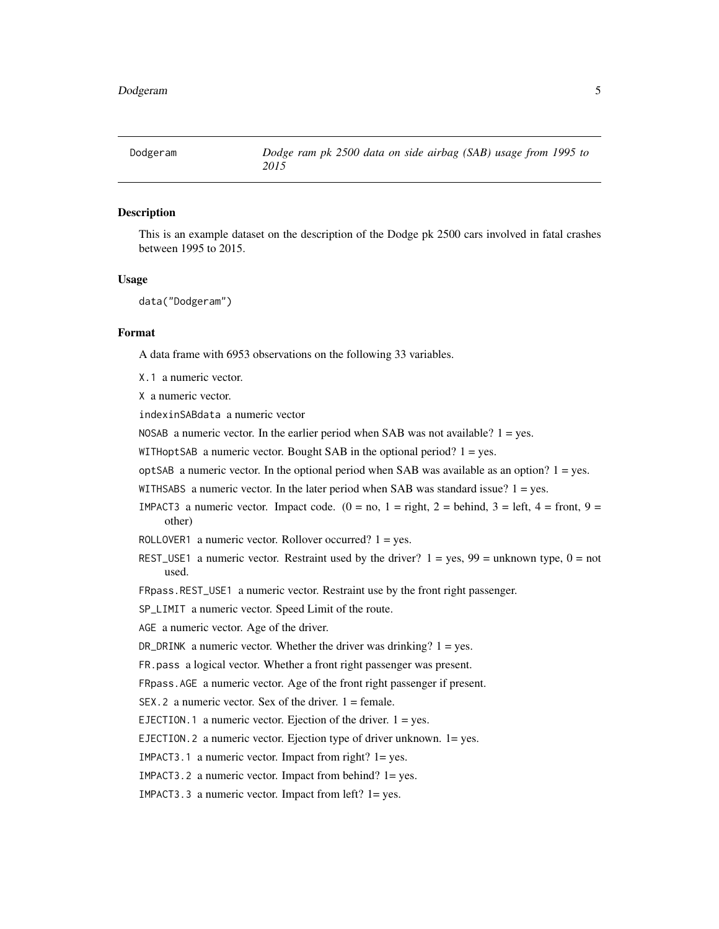<span id="page-4-0"></span>

# **Description**

This is an example dataset on the description of the Dodge pk 2500 cars involved in fatal crashes between 1995 to 2015.

#### Usage

data("Dodgeram")

# Format

A data frame with 6953 observations on the following 33 variables.

X.1 a numeric vector.

X a numeric vector.

indexinSABdata a numeric vector

NOSAB a numeric vector. In the earlier period when SAB was not available?  $1 = yes$ .

- WITHoptSAB a numeric vector. Bought SAB in the optional period?  $1 = yes$ .
- $optSAB$  a numeric vector. In the optional period when SAB was available as an option?  $1 = yes$ .
- WITHSABS a numeric vector. In the later period when SAB was standard issue? 1 = yes.
- IMPACT3 a numeric vector. Impact code.  $(0 = no, 1 = right, 2 = behind, 3 = left, 4 = front, 9 =$ other)
- ROLLOVER1 a numeric vector. Rollover occurred?  $1 = yes$ .
- REST\_USE1 a numeric vector. Restraint used by the driver?  $1 = yes$ ,  $99 =$  unknown type,  $0 =$  not used.
- FRpass.REST\_USE1 a numeric vector. Restraint use by the front right passenger.

SP\_LIMIT a numeric vector. Speed Limit of the route.

- AGE a numeric vector. Age of the driver.
- DR\_DRINK a numeric vector. Whether the driver was drinking?  $1 = yes$ .

FR.pass a logical vector. Whether a front right passenger was present.

FRpass.AGE a numeric vector. Age of the front right passenger if present.

 $SEX.2$  a numeric vector. Sex of the driver.  $1 =$  female.

EJECTION.1 a numeric vector. Ejection of the driver.  $1 = yes$ .

EJECTION.2 a numeric vector. Ejection type of driver unknown. 1= yes.

IMPACT3.1 a numeric vector. Impact from right? 1= yes.

IMPACT3.2 a numeric vector. Impact from behind? 1= yes.

IMPACT3.3 a numeric vector. Impact from left? 1= yes.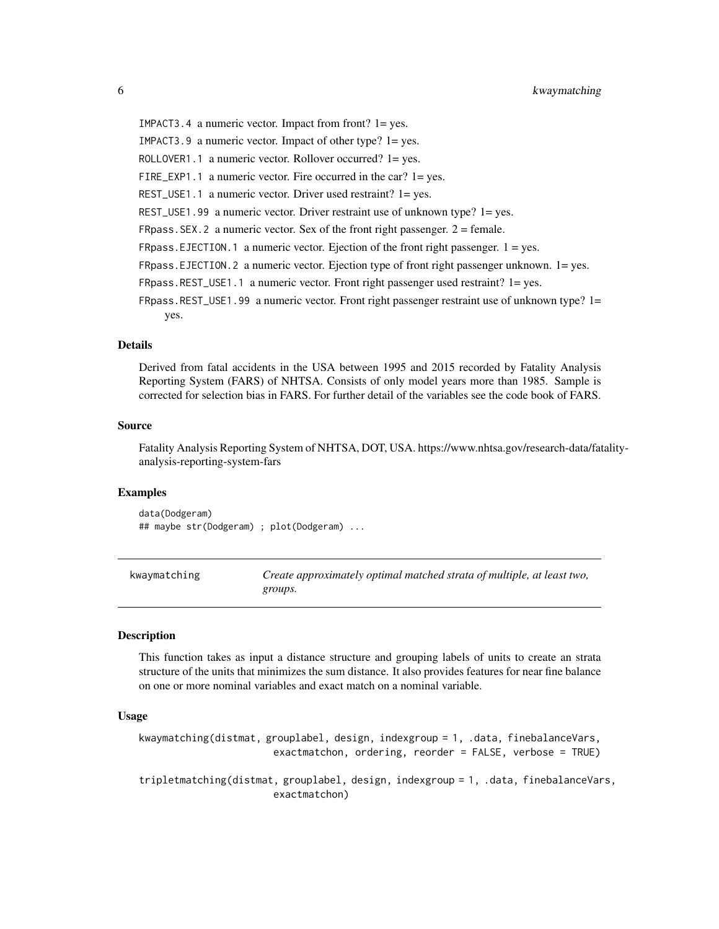<span id="page-5-0"></span>IMPACT3.4 a numeric vector. Impact from front? 1= yes. IMPACT3.9 a numeric vector. Impact of other type? 1= yes. ROLLOVER1.1 a numeric vector. Rollover occurred? 1= yes. FIRE\_EXP1.1 a numeric vector. Fire occurred in the car? 1= yes. REST\_USE1.1 a numeric vector. Driver used restraint? 1= yes. REST\_USE1.99 a numeric vector. Driver restraint use of unknown type? 1= yes. FRpass. SEX. 2 a numeric vector. Sex of the front right passenger.  $2 =$  female. FRpass.EJECTION.1 a numeric vector. Ejection of the front right passenger.  $1 = yes$ . FRpass.EJECTION.2 a numeric vector. Ejection type of front right passenger unknown. 1= yes. FRpass.REST\_USE1.1 a numeric vector. Front right passenger used restraint? 1= yes. FRpass.REST\_USE1.99 a numeric vector. Front right passenger restraint use of unknown type? 1= yes.

#### Details

Derived from fatal accidents in the USA between 1995 and 2015 recorded by Fatality Analysis Reporting System (FARS) of NHTSA. Consists of only model years more than 1985. Sample is corrected for selection bias in FARS. For further detail of the variables see the code book of FARS.

#### Source

Fatality Analysis Reporting System of NHTSA, DOT, USA. https://www.nhtsa.gov/research-data/fatalityanalysis-reporting-system-fars

#### Examples

data(Dodgeram) ## maybe str(Dodgeram) ; plot(Dodgeram) ...

<span id="page-5-1"></span>kwaymatching *Create approximately optimal matched strata of multiple, at least two, groups.*

#### <span id="page-5-2"></span>**Description**

This function takes as input a distance structure and grouping labels of units to create an strata structure of the units that minimizes the sum distance. It also provides features for near fine balance on one or more nominal variables and exact match on a nominal variable.

#### Usage

```
kwaymatching(distmat, grouplabel, design, indexgroup = 1, .data, finebalanceVars,
                       exactmatchon, ordering, reorder = FALSE, verbose = TRUE)
```
tripletmatching(distmat, grouplabel, design, indexgroup = 1, .data, finebalanceVars, exactmatchon)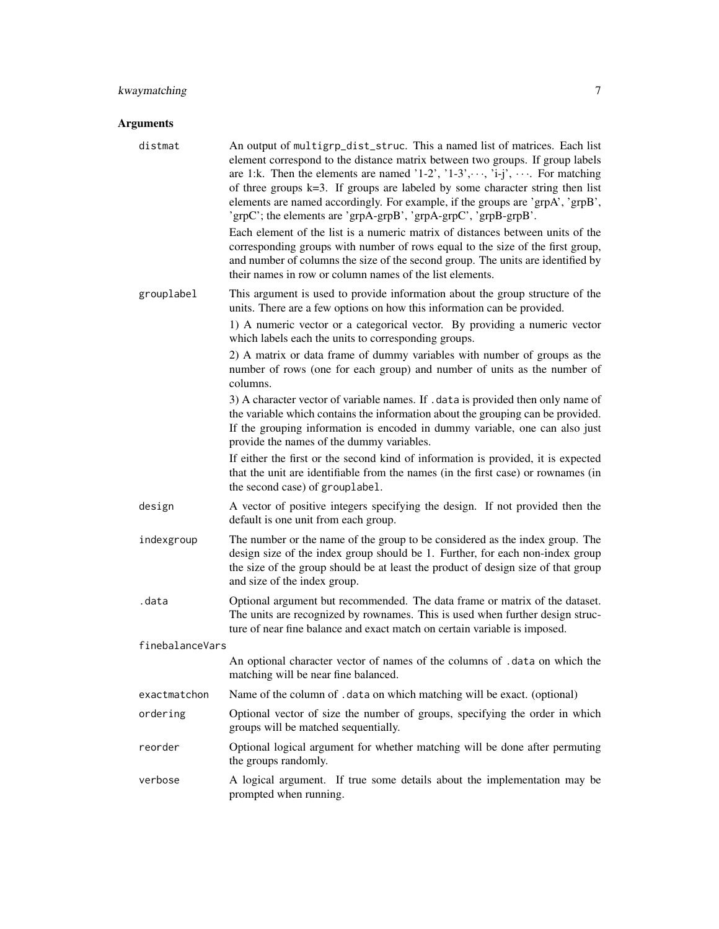# kwaymatching 7

# Arguments

| distmat         | An output of multigrp_dist_struc. This a named list of matrices. Each list<br>element correspond to the distance matrix between two groups. If group labels<br>are 1:k. Then the elements are named '1-2', '1-3', $\cdots$ , 'i-j', $\cdots$ . For matching<br>of three groups $k=3$ . If groups are labeled by some character string then list<br>elements are named accordingly. For example, if the groups are 'grpA', 'grpB',<br>'grpC'; the elements are 'grpA-grpB', 'grpA-grpC', 'grpB-grpB'.<br>Each element of the list is a numeric matrix of distances between units of the<br>corresponding groups with number of rows equal to the size of the first group,<br>and number of columns the size of the second group. The units are identified by<br>their names in row or column names of the list elements. |
|-----------------|-------------------------------------------------------------------------------------------------------------------------------------------------------------------------------------------------------------------------------------------------------------------------------------------------------------------------------------------------------------------------------------------------------------------------------------------------------------------------------------------------------------------------------------------------------------------------------------------------------------------------------------------------------------------------------------------------------------------------------------------------------------------------------------------------------------------------|
| grouplabel      | This argument is used to provide information about the group structure of the<br>units. There are a few options on how this information can be provided.<br>1) A numeric vector or a categorical vector. By providing a numeric vector<br>which labels each the units to corresponding groups.<br>2) A matrix or data frame of dummy variables with number of groups as the<br>number of rows (one for each group) and number of units as the number of<br>columns.                                                                                                                                                                                                                                                                                                                                                     |
|                 | 3) A character vector of variable names. If . data is provided then only name of<br>the variable which contains the information about the grouping can be provided.<br>If the grouping information is encoded in dummy variable, one can also just<br>provide the names of the dummy variables.<br>If either the first or the second kind of information is provided, it is expected<br>that the unit are identifiable from the names (in the first case) or rownames (in<br>the second case) of grouplabel.                                                                                                                                                                                                                                                                                                            |
| design          | A vector of positive integers specifying the design. If not provided then the<br>default is one unit from each group.                                                                                                                                                                                                                                                                                                                                                                                                                                                                                                                                                                                                                                                                                                   |
| indexgroup      | The number or the name of the group to be considered as the index group. The<br>design size of the index group should be 1. Further, for each non-index group<br>the size of the group should be at least the product of design size of that group<br>and size of the index group.                                                                                                                                                                                                                                                                                                                                                                                                                                                                                                                                      |
| .data           | Optional argument but recommended. The data frame or matrix of the dataset.<br>The units are recognized by rownames. This is used when further design struc-<br>ture of near fine balance and exact match on certain variable is imposed.                                                                                                                                                                                                                                                                                                                                                                                                                                                                                                                                                                               |
| finebalanceVars |                                                                                                                                                                                                                                                                                                                                                                                                                                                                                                                                                                                                                                                                                                                                                                                                                         |
|                 | An optional character vector of names of the columns of .data on which the<br>matching will be near fine balanced.                                                                                                                                                                                                                                                                                                                                                                                                                                                                                                                                                                                                                                                                                                      |
| exactmatchon    | Name of the column of . data on which matching will be exact. (optional)                                                                                                                                                                                                                                                                                                                                                                                                                                                                                                                                                                                                                                                                                                                                                |
| ordering        | Optional vector of size the number of groups, specifying the order in which<br>groups will be matched sequentially.                                                                                                                                                                                                                                                                                                                                                                                                                                                                                                                                                                                                                                                                                                     |
| reorder         | Optional logical argument for whether matching will be done after permuting<br>the groups randomly.                                                                                                                                                                                                                                                                                                                                                                                                                                                                                                                                                                                                                                                                                                                     |
| verbose         | A logical argument. If true some details about the implementation may be<br>prompted when running.                                                                                                                                                                                                                                                                                                                                                                                                                                                                                                                                                                                                                                                                                                                      |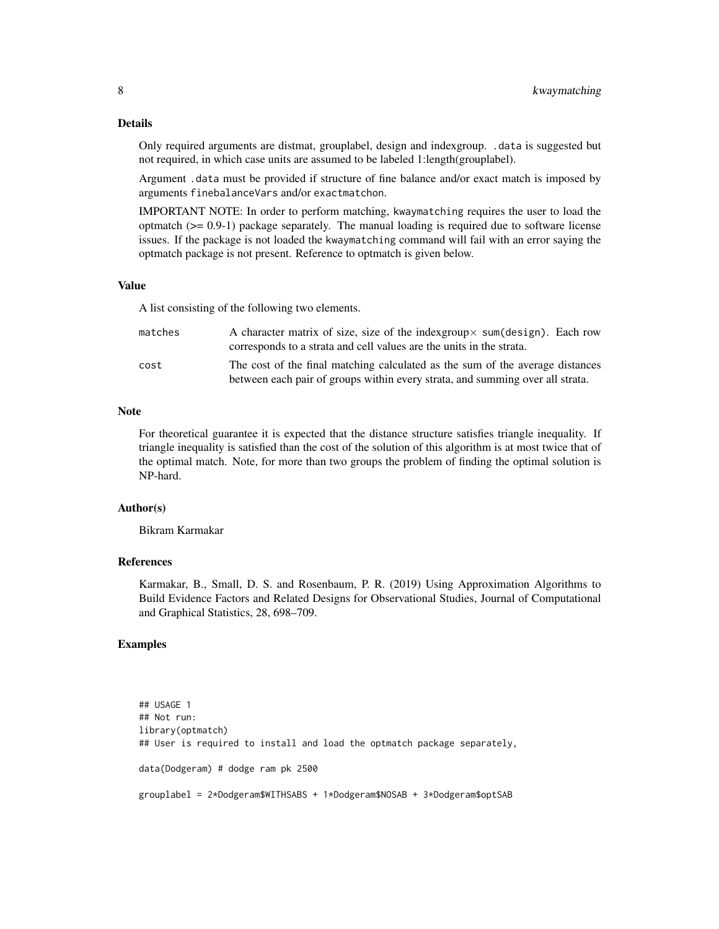Only required arguments are distmat, grouplabel, design and indexgroup. .data is suggested but not required, in which case units are assumed to be labeled 1:length(grouplabel).

Argument .data must be provided if structure of fine balance and/or exact match is imposed by arguments finebalanceVars and/or exactmatchon.

IMPORTANT NOTE: In order to perform matching, kwaymatching requires the user to load the optmatch  $(>= 0.9-1)$  package separately. The manual loading is required due to software license issues. If the package is not loaded the kwaymatching command will fail with an error saying the optmatch package is not present. Reference to optmatch is given below.

#### Value

A list consisting of the following two elements.

| matches | A character matrix of size, size of the indexgroup $\times$ sum(design). Each row<br>corresponds to a strata and cell values are the units in the strata.      |
|---------|----------------------------------------------------------------------------------------------------------------------------------------------------------------|
| cost    | The cost of the final matching calculated as the sum of the average distances<br>between each pair of groups within every strata, and summing over all strata. |

#### **Note**

For theoretical guarantee it is expected that the distance structure satisfies triangle inequality. If triangle inequality is satisfied than the cost of the solution of this algorithm is at most twice that of the optimal match. Note, for more than two groups the problem of finding the optimal solution is NP-hard.

#### Author(s)

Bikram Karmakar

# References

Karmakar, B., Small, D. S. and Rosenbaum, P. R. (2019) Using Approximation Algorithms to Build Evidence Factors and Related Designs for Observational Studies, Journal of Computational and Graphical Statistics, 28, 698–709.

# Examples

```
## USAGE 1
## Not run:
library(optmatch)
## User is required to install and load the optmatch package separately,
data(Dodgeram) # dodge ram pk 2500
grouplabel = 2*Dodgeram$WITHSABS + 1*Dodgeram$NOSAB + 3*Dodgeram$optSAB
```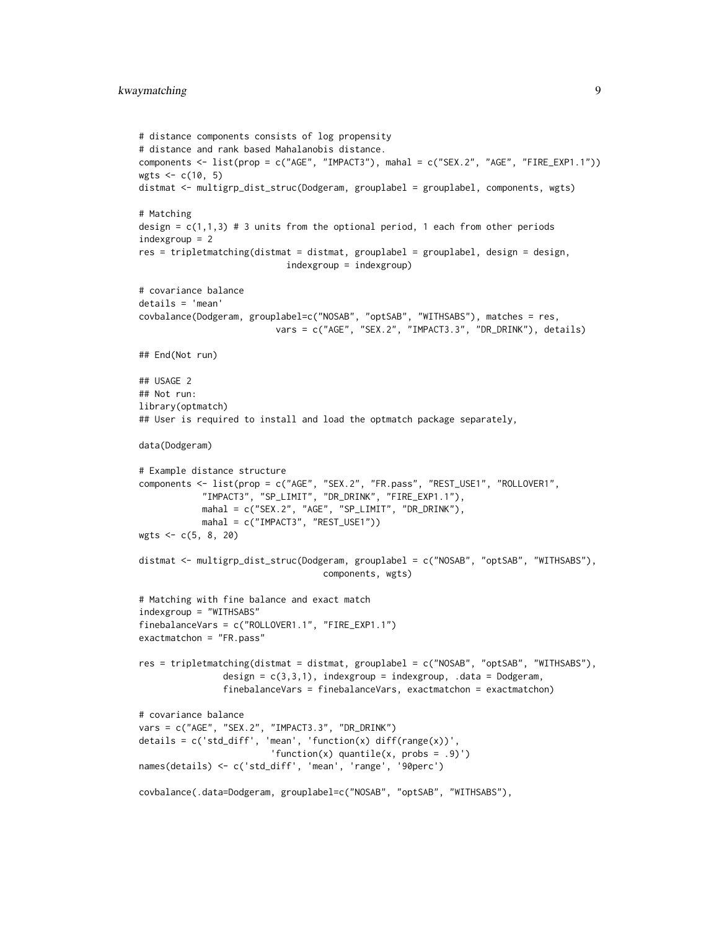```
# distance components consists of log propensity
# distance and rank based Mahalanobis distance.
components <- list(prop = c("AGE", "IMPACT3"), mahal = c("SEX.2", "AGE", "FIRE_EXP1.1"))
wgts <- c(10, 5)
distmat <- multigrp_dist_struc(Dodgeram, grouplabel = grouplabel, components, wgts)
# Matching
design = c(1,1,3) # 3 units from the optional period, 1 each from other periods
indexgroup = 2
res = tripletmatching (distmat = distmat, grouplabel = grouplabel, design, design,indexgroup = indexgroup)
# covariance balance
details = 'mean'
covbalance(Dodgeram, grouplabel=c("NOSAB", "optSAB", "WITHSABS"), matches = res,
                         vars = c("AGE", "SEX.2", "IMPACT3.3", "DR_DRINK"), details)
## End(Not run)
## USAGE 2
## Not run:
library(optmatch)
## User is required to install and load the optmatch package separately,
data(Dodgeram)
# Example distance structure
components <- list(prop = c("AGE", "SEX.2", "FR.pass", "REST_USE1", "ROLLOVER1",
            "IMPACT3", "SP_LIMIT", "DR_DRINK", "FIRE_EXP1.1"),
            mahal = c("SEX.2", "AGE", "SP_LIMIT", "DR_DRINK"),
            mahal = c("IMPACT3", "REST_USE1"))
wgts <- c(5, 8, 20)
distmat <- multigrp_dist_struc(Dodgeram, grouplabel = c("NOSAB", "optSAB", "WITHSABS"),
                                   components, wgts)
# Matching with fine balance and exact match
indexgroup = "WITHSABS"
finebalanceVars = c("ROLLOVER1.1", "FIRE_EXP1.1")
exactmatchon = "FR.pass"
res = tripletmatching(distmat = distmat, grouplabel = c("NOSAB", "optSAB", "WITHSABS"),
                design = c(3,3,1), indexgroup = indexgroup, .data = Dodgeram,
                finebalanceVars = finebalanceVars, exactmatchon = exactmatchon)
# covariance balance
vars = c("AGE", "SEX.2", "IMPACT3.3", "DR_DRINK")
details = c('std_diff', 'mean', 'function(x) diff(range(x))''function(x) quantile(x, probs = .9)')
names(details) <- c('std_diff', 'mean', 'range', '90perc')
covbalance(.data=Dodgeram, grouplabel=c("NOSAB", "optSAB", "WITHSABS"),
```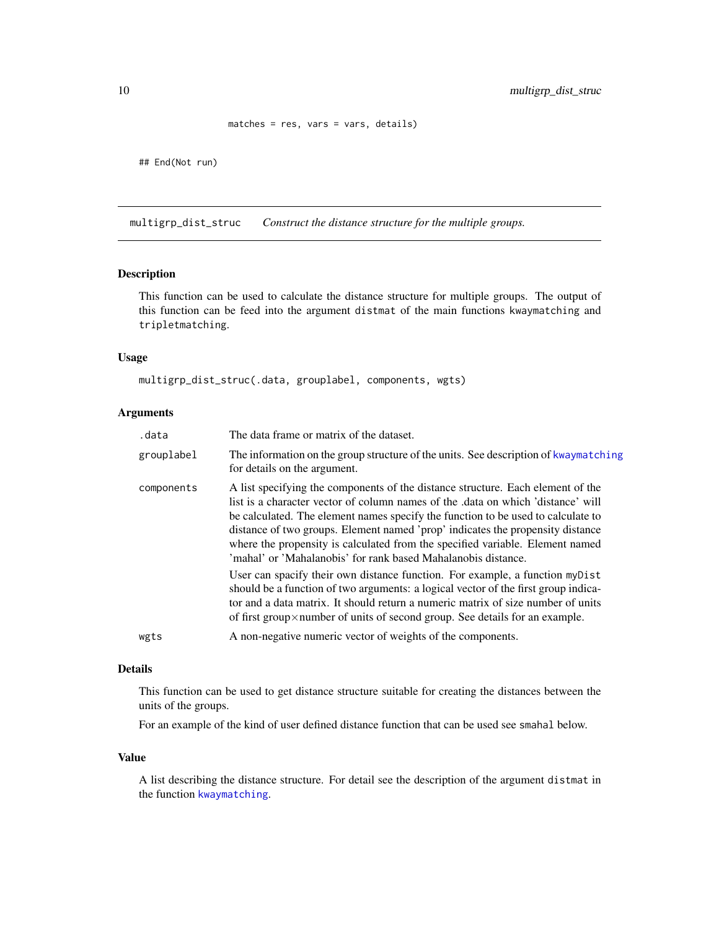```
matches = res, vars = vars, details)
```
<span id="page-9-0"></span>## End(Not run)

multigrp\_dist\_struc *Construct the distance structure for the multiple groups.*

## Description

This function can be used to calculate the distance structure for multiple groups. The output of this function can be feed into the argument distmat of the main functions kwaymatching and tripletmatching.

# Usage

```
multigrp_dist_struc(.data, grouplabel, components, wgts)
```
# Arguments

| .data      | The data frame or matrix of the dataset.                                                                                                                                                                                                                                                                                                                                                                                                                                                   |
|------------|--------------------------------------------------------------------------------------------------------------------------------------------------------------------------------------------------------------------------------------------------------------------------------------------------------------------------------------------------------------------------------------------------------------------------------------------------------------------------------------------|
| grouplabel | The information on the group structure of the units. See description of kwaymatching<br>for details on the argument.                                                                                                                                                                                                                                                                                                                                                                       |
| components | A list specifying the components of the distance structure. Each element of the<br>list is a character vector of column names of the data on which 'distance' will<br>be calculated. The element names specify the function to be used to calculate to<br>distance of two groups. Element named 'prop' indicates the propensity distance<br>where the propensity is calculated from the specified variable. Element named<br>'mahal' or 'Mahalanobis' for rank based Mahalanobis distance. |
|            | User can spacify their own distance function. For example, a function myDist<br>should be a function of two arguments: a logical vector of the first group indica-<br>tor and a data matrix. It should return a numeric matrix of size number of units<br>of first group $\times$ number of units of second group. See details for an example.                                                                                                                                             |
| wgts       | A non-negative numeric vector of weights of the components.                                                                                                                                                                                                                                                                                                                                                                                                                                |

#### Details

This function can be used to get distance structure suitable for creating the distances between the units of the groups.

For an example of the kind of user defined distance function that can be used see smahal below.

#### Value

A list describing the distance structure. For detail see the description of the argument distmat in the function [kwaymatching](#page-5-1).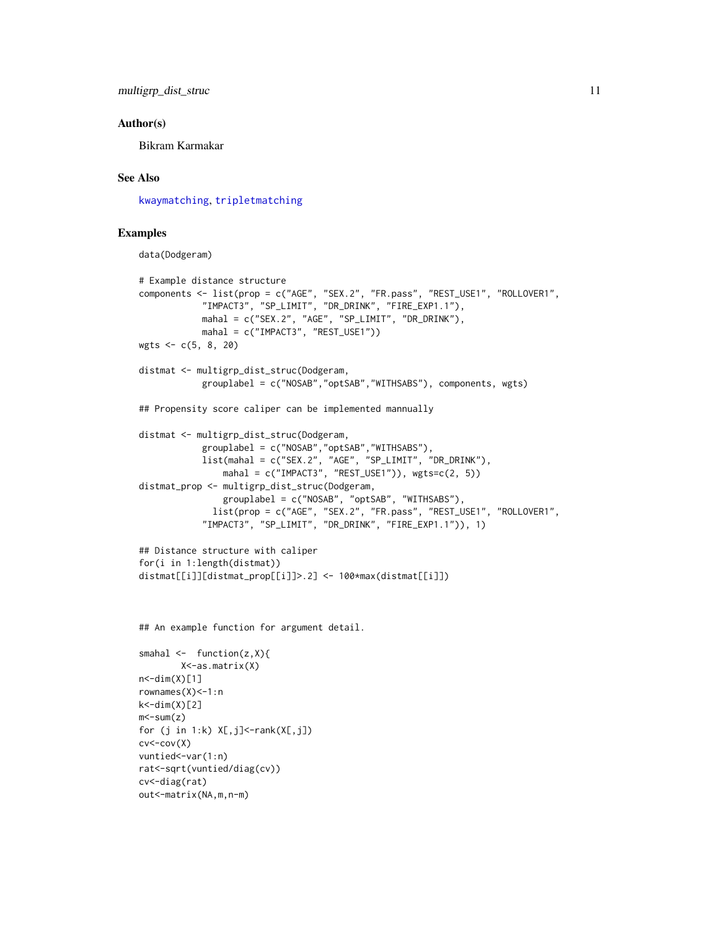<span id="page-10-0"></span>multigrp\_dist\_struc 11

#### Author(s)

Bikram Karmakar

# See Also

[kwaymatching](#page-5-1), [tripletmatching](#page-5-2)

# Examples

data(Dodgeram)

```
# Example distance structure
components <- list(prop = c("AGE", "SEX.2", "FR.pass", "REST_USE1", "ROLLOVER1",
           "IMPACT3", "SP_LIMIT", "DR_DRINK", "FIRE_EXP1.1"),
            mahal = c("SEX.2", "AGE", "SP_LIMIT", "DR_DRINK"),
           mahal = c("IMPACT3", "REST_USE1"))
wgts <- c(5, 8, 20)
distmat <- multigrp_dist_struc(Dodgeram,
            grouplabel = c("NOSAB","optSAB","WITHSABS"), components, wgts)
## Propensity score caliper can be implemented mannually
distmat <- multigrp_dist_struc(Dodgeram,
            grouplabel = c("NOSAB","optSAB","WITHSABS"),
            list(mahal = c("SEX.2", "AGE", "SP_LIMIT", "DR_DRINK"),
               mahal = c("IMPACT3", "REST_USE1")), wgts=c(2, 5))distmat_prop <- multigrp_dist_struc(Dodgeram,
               grouplabel = c("NOSAB", "optSAB", "WITHSABS"),
             list(prop = c("AGE", "SEX.2", "FR.pass", "REST_USE1", "ROLLOVER1",
            "IMPACT3", "SP_LIMIT", "DR_DRINK", "FIRE_EXP1.1")), 1)
## Distance structure with caliper
for(i in 1:length(distmat))
distmat[[i]][distmat_prop[[i]]>.2] <- 100*max(distmat[[i]])
```
## An example function for argument detail.

```
smahal \leq function(z, X){
              X<-as.matrix(X)
n < -dim(X)[1]rownames(X) < -1:nk < -dim(X)[2]m \leq \leq \leq \leq \leq \leq \leq \leq \leq \leq \leq \leq \leq \leq \leq \leq \leq \leq \leq \leq \leq \leq \leq \leq \leq \leq \leq \leq \leq \leq \leq \leq \leq \leq \leq \leq for (j in 1:k) X[, j]<-rank(X[, j])cv < -cov(X)vuntied <- var(1:n)
rat<-sqrt(vuntied/diag(cv))
cv<-diag(rat)
out<-matrix(NA,m,n-m)
```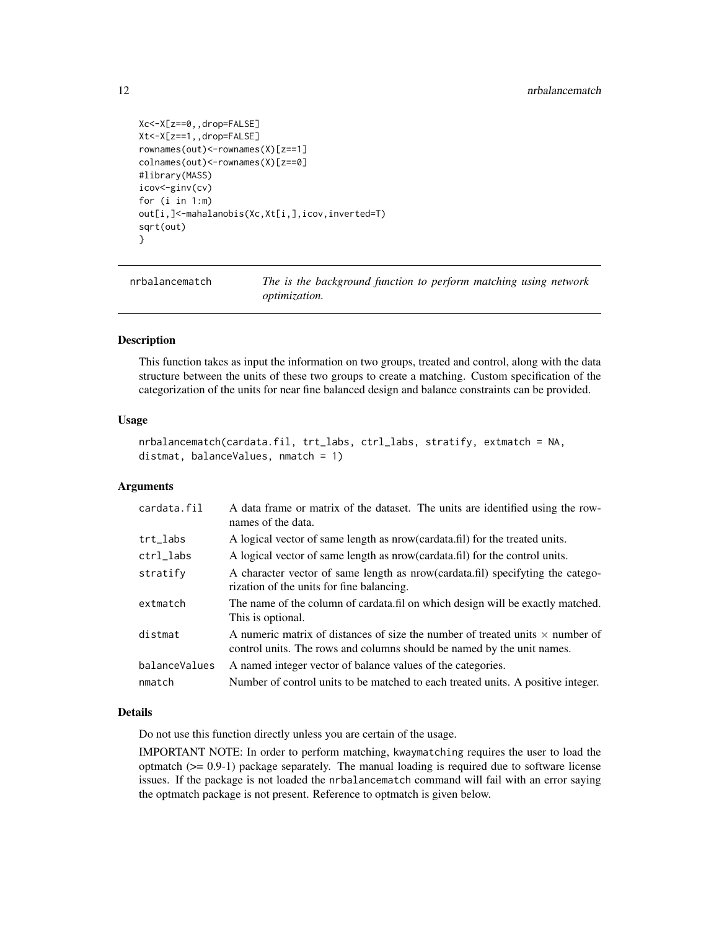```
Xc<-X[z==0,,drop=FALSE]
Xt<-X[z==1,,drop=FALSE]
rownames(out)<-rownames(X)[z==1]
colnames(out)<-rownames(X)[z==0]
#library(MASS)
icov<-ginv(cv)
for (i in 1:m)
out[i,]<-mahalanobis(Xc,Xt[i,],icov,inverted=T)
sqrt(out)
}
```
nrbalancematch *The is the background function to perform matching using network optimization.*

#### Description

This function takes as input the information on two groups, treated and control, along with the data structure between the units of these two groups to create a matching. Custom specification of the categorization of the units for near fine balanced design and balance constraints can be provided.

#### Usage

```
nrbalancematch(cardata.fil, trt_labs, ctrl_labs, stratify, extmatch = NA,
distmat, balanceValues, nmatch = 1)
```
#### Arguments

| cardata.fil   | A data frame or matrix of the dataset. The units are identified using the row-<br>names of the data.                                                           |
|---------------|----------------------------------------------------------------------------------------------------------------------------------------------------------------|
| trt_labs      | A logical vector of same length as nrow (cardata.fil) for the treated units.                                                                                   |
| ctrl_labs     | A logical vector of same length as nrow (cardata.fil) for the control units.                                                                                   |
| stratify      | A character vector of same length as nrow(cardata.fil) specifyting the catego-<br>rization of the units for fine balancing.                                    |
| extmatch      | The name of the column of cardata.fil on which design will be exactly matched.<br>This is optional.                                                            |
| distmat       | A numeric matrix of distances of size the number of treated units $\times$ number of<br>control units. The rows and columns should be named by the unit names. |
| balanceValues | A named integer vector of balance values of the categories.                                                                                                    |
| nmatch        | Number of control units to be matched to each treated units. A positive integer.                                                                               |

#### Details

Do not use this function directly unless you are certain of the usage.

IMPORTANT NOTE: In order to perform matching, kwaymatching requires the user to load the optmatch  $(>= 0.9-1)$  package separately. The manual loading is required due to software license issues. If the package is not loaded the nrbalancematch command will fail with an error saying the optmatch package is not present. Reference to optmatch is given below.

<span id="page-11-0"></span>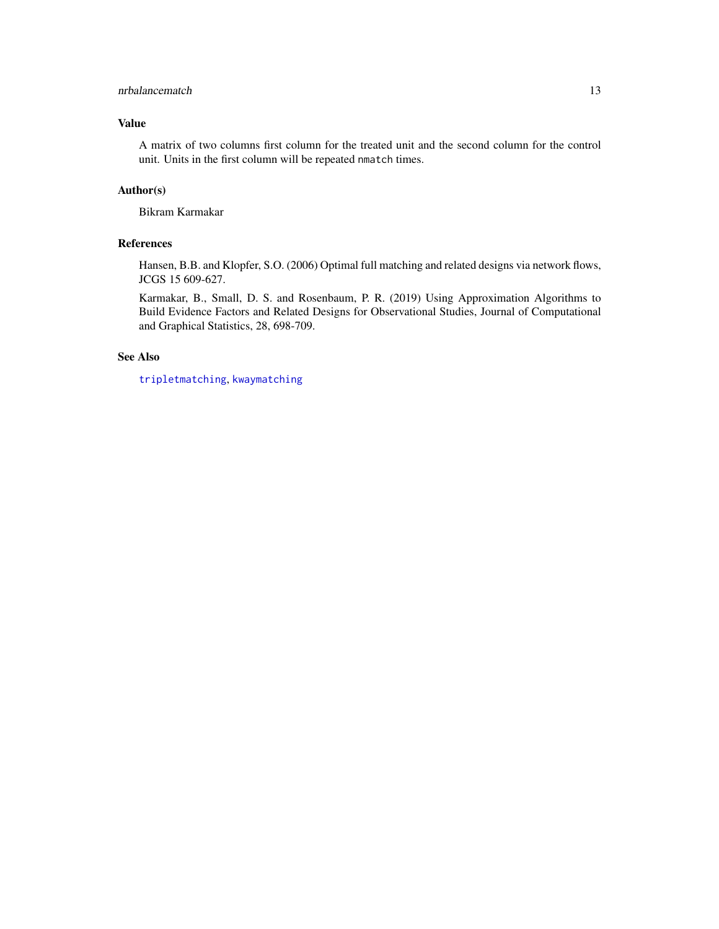## <span id="page-12-0"></span>nrbalancematch 13

# Value

A matrix of two columns first column for the treated unit and the second column for the control unit. Units in the first column will be repeated nmatch times.

# Author(s)

Bikram Karmakar

# References

Hansen, B.B. and Klopfer, S.O. (2006) Optimal full matching and related designs via network flows, JCGS 15 609-627.

Karmakar, B., Small, D. S. and Rosenbaum, P. R. (2019) Using Approximation Algorithms to Build Evidence Factors and Related Designs for Observational Studies, Journal of Computational and Graphical Statistics, 28, 698-709.

# See Also

[tripletmatching](#page-5-2), [kwaymatching](#page-5-1)